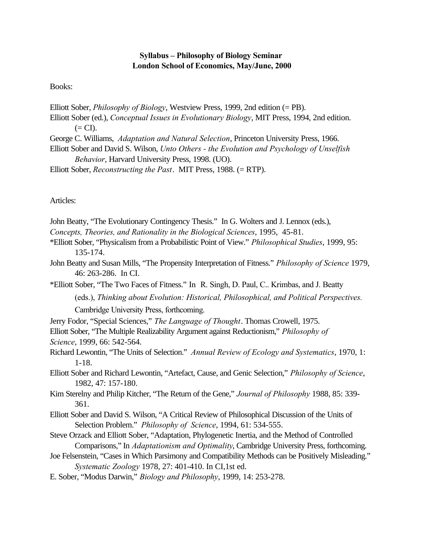## **Syllabus – Philosophy of Biology Seminar London School of Economics, May/June, 2000**

Books:

Elliott Sober, *Philosophy of Biology*, Westview Press, 1999, 2nd edition (= PB). Elliott Sober (ed.), *Conceptual Issues in Evolutionary Biology*, MIT Press, 1994, 2nd edition.  $(= CI).$ 

George C. Williams, *Adaptation and Natural Selection*, Princeton University Press, 1966.

Elliott Sober and David S. Wilson, *Unto Others - the Evolution and Psychology of Unselfish Behavior*, Harvard University Press, 1998. (UO).

Elliott Sober, *Reconstructing the Past*. MIT Press, 1988. (= RTP).

Articles:

|  |  |  | John Beatty, "The Evolutionary Contingency Thesis." In G. Wolters and J. Lennox (eds.), |  |
|--|--|--|-----------------------------------------------------------------------------------------|--|
|  |  |  |                                                                                         |  |
|  |  |  |                                                                                         |  |
|  |  |  |                                                                                         |  |

- *Concepts, Theories, and Rationality in the Biological Sciences*, 1995, 45-81.
- \*Elliott Sober, "Physicalism from a Probabilistic Point of View." *Philosophical Studies*, 1999, 95: 135-174.
- John Beatty and Susan Mills, "The Propensity Interpretation of Fitness." *Philosophy of Science* 1979, 46: 263-286. In CI.

\*Elliott Sober, "The Two Faces of Fitness." In R. Singh, D. Paul, C.. Krimbas, and J. Beatty

(eds.), *Thinking about Evolution: Historical, Philosophical, and Political Perspectives.* 

Cambridge University Press, forthcoming.

Jerry Fodor, "Special Sciences," *The Language of Thought*. Thomas Crowell, 1975.

Elliott Sober, "The Multiple Realizability Argument against Reductionism," *Philosophy of Science*, 1999, 66: 542-564.

Richard Lewontin, "The Units of Selection." *Annual Review of Ecology and Systematics*, 1970, 1: 1-18.

Elliott Sober and Richard Lewontin, "Artefact, Cause, and Genic Selection," *Philosophy of Science*, 1982, 47: 157-180.

Kim Sterelny and Philip Kitcher, "The Return of the Gene," *Journal of Philosophy* 1988, 85: 339- 361.

Elliott Sober and David S. Wilson, "A Critical Review of Philosophical Discussion of the Units of Selection Problem." *Philosophy of Science*, 1994, 61: 534-555.

Steve Orzack and Elliott Sober, "Adaptation, Phylogenetic Inertia, and the Method of Controlled Comparisons," In *Adaptationism and Optimality*, Cambridge University Press, forthcoming.

Joe Felsenstein, "Cases in Which Parsimony and Compatibility Methods can be Positively Misleading." *Systematic Zoology* 1978, 27: 401-410. In CI,1st ed.

E. Sober, "Modus Darwin," *Biology and Philosophy*, 1999, 14: 253-278.